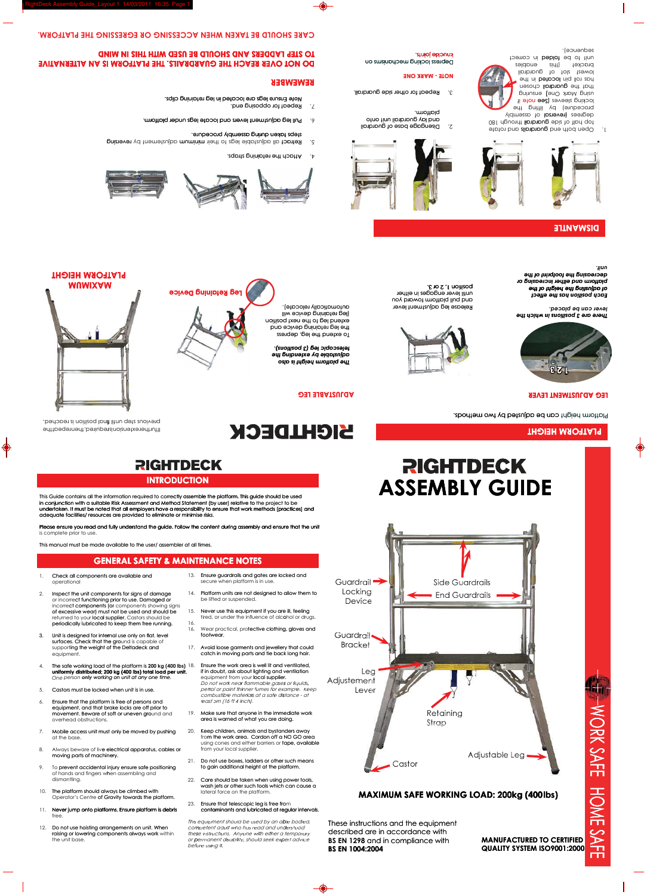**3 2 1**

**LEG ADJUSTMENT LEVER**

**PLATFORM HEIGHT**

Platform height can be adjusted by two methods.

### **ADJUSTABLE LEG**

**Device Locking** Guardrail **D** 

To extend the leg, depress

**REMEMBER**

**DO NOT OVER REACH THE GUARDRAILS. THE PLATFORM IS AN ALTERNATIVE** 

**TO STEP LADDERS AND SHOULD BE USED WITH THIS IN MIND**

**CARE SHOULD BE TAKEN WHEN ACCESSING OR EGRESSING THE PLATFORM.** 

### **INTRODUCTION**

### **GENERAL SAFETY & MAINTENANCE NOTES**

 **PLATFORM HEIGHT**

**NOTE - MARK ONE**

knuckle joints.

*unit. decreasing the footprint of the platform and either increasing or of adjusting the height of the Each position has the effect* 

*lever can be placed.*

*There are 3 positions in which the* 

**ASSEMBLY GUIDE**

### platform. and lay guardrail unit onto

**QUALITY SYSTEM ISO9001:2000 MANUFACTURED TO CERTIFIED** 

position 1, 2 or 3.







undertaken. It must be noted that all employers have a responsibility to ensure that work methods (practices) and in conjunction with a suitable Risk Assessment and Method Statement (by user) relative to the project to be correctly assemble the platform. This guide should be used adequate facilities/ resources are provided to eliminate or minimise risks. in conjunction with a suitable Risk Assessment and Method Statement (by user) relative to<br>undertaken. It must be noted that all employers have a responsibility to ensure that work i<br>adequate facilities/ resources are provi

### **lbs) (400**

catch in moving parts and tie back long hair. 17. Avoid loose garments and jewellery that could Brack

tired, or under the influence of alcohol or drugs.<br>Wear practical, prot**ective clothing, gloves and** 

- 2. Disengage base of guardrail
- 
- 
- 
- 
- 
- 
- 
- 
- 
- 
- 
- 
- 
- 
- 
- 
- 
- 
- 
- 
- 
- 
- 
- 
- 
- 
- 
- 
- 
- 
- 

Debuss locking mechanisms on

**BS EN 1004:2004** BS EN 1298 and in compliance with described are in accordance with These instructions and the equipment



Ensure legs are located in leg retaining clips. *Note*

5. Retract all adjustable legs to their mimum adjustement by reversing

## **Leg Retaining Device MAXIMUM M**

rturtherextensionistequired; thenrepeatthe . bədəbə uniil final position is rədəd.

- 
- 
- 
- 6. Pull leg adjustment levers and locate legs under platform.
	- steps taken during assembly procedure.

4. Attach the retaining straps.

7. Repeat for opposing end.

automatically relocate). (leg retaining device will extend leg to the next position the leg retaining device and

*telescopic leg (3 positions). adjustable by extending the The platform height is also* 

- *Do not work near flammable gases or liquids, l* or paint thinner fumes for example. Keep *petrol or paint thinner fumes for example. Ke<br>combustible materials at a safe distance - at least 5m (16 ft 4 inch).* equipment from your local supplier. if in doubt, ask about lighting and ventilation Ensure the work area is well lit and ventilated, exatch in moving parts and tie back long hair.<br>Ensure the work area is well lit and ventilated,<br>if in doubt, ask about lighting and ventilation<br>equipment from your local supplier.
- area is warned of what you are doing. 19. Make sure that anyone in the immediate work
- using cones and either barriers or tape, available m the work area. Cordon off a NO GO area Keep children, animals and bystanders away from your local supplier. Keep children, animals and bystanders away<br>from the work area. Cordon off a NO GO are<br>using cones and either barriers or tape, availa 20.
- to gain additional height at the platform. Do not use boxes, ladders or other such means 21.
- wash jets or other such tools which can cause a 22. Care should be taken when using power tools, lateral force on the platform.
- contaminants and lubricated at regular intervals. Ensure that telescopic leg is free from 23.

*Fhis equipment should be used by an able bodied, competent adult who has read and understood hese instructions. Anyone with either a temporary <i>Or permanent disability, should seek expert advice before using it.* 

Never use this equipment if you are ill, feeling

14. Platform units are not designed to allow them to



### **DISMANTLE**



be lifted or suspended.

Wear practical, protective clothing, gloves and

Ensure guardrails and gates are locked and 13.

secure when platform is in use.

Please ensure you read and fully understand the guide. Follow the content during assembly and ensure that the unit is complete prior to use.

available to the user/ assembler at all times.

16. 15.

- Check all components are available and
- in conjunction with a suitable Risk Assessment and Method Statement (by user) relative to andeptate facilities/ resources are provided to eliminate or minimise risks.<br>
Please ensure you read and fully understand the guide. This Guide contains all the information required to correctly asset<br>
in conjunction with a suitable Risk Assessment and Method State<br>
undertaken. It must be noted that all employers have a responsition<br>
adequate facilities periodically lubricated to keep them free running. returned to your local supplier. Castors should be of excessive wear) must not be used and should be incorrect components (or components showing signs or incorrect functioning prior to use. Damaged or Inspect the unit components for signs of damage operational<br>2. Inspect the variance 1. Check all components<br>
operational<br>
2. Inspect the unit compo<br>
or incorrect functioning<br>
incorrect components<br>
of excessive wear) mus<br>
returned to your local s<br>
periodically lubricated<br>
3. Unit is designed for inte<br>
surf
	- surfaces. Check that the ground is capable (<br>supporting the weight of the Deltadeck and surfaces. Check that the ground is capable of equipment.

3. Unit is designed for internal use only on flat, level

- The safe working load of the platform is 200 kg (400 lbs) 18. One person **only** working on unit at any one time. **uniformly distributed; 200 kg (400 lbs) total load per unit.**  4. The safe working load of the platform is<br> **uniformly distributed; 200 kg (400 lbs) to**<br>
One person **only** working on unit at any<br>
5. Castors must be locked when unit is in u<br>
6. Ensure that the platform is free of perso
- Castors must be locked when unit is in use.
- movement. Beware of soft or uneven ground and equipment, and that brake locks are off prior to Ensure that the platform is free of persons and
- Mobile access unit must only be moved by pushing at the base.
- moving parts of machinery. 8. Always beware of liv**e electrical apparatus, cables or**
- of hands and fingers when assembling and Mobile access unit must only be moved by pushing 20.<br>
20. Always beware of live electrical apparatus, cables or<br>
moving parts of machinery.<br>
10 prevent accidental injury ensure safe positioning<br>
of hands and fingers when a 9. To prevent accidental injury ensure safe positioning 7. Mobile acces<br>
at the base.<br>
8. Always bewa<br>
moving parts<br>
9. To prevent ac<br>
of hands and<br>
dismantling.<br>
10. The platform s<br>
Operator's Ce<br>
11. Never jump o<br>
free.<br>
12. Do not use has<br>
raising or low<br>
the unit base.
- of Gravity towards the platform. The platform should always be climbed with dismantling.<br>10. The platform should<br>Operator's Centre<br>11. Never jump onto p
- 
- raising or lowering components always work within free.<br>12. Do not use hoisting arrangements on unit. When

### yldməzzo to **lozieven**) i by procedure) p ii aton aa2) zavaalz gnixoo pninene (enO *x*hoM pnieu lhat the guardrail chosen ont ni betpool niq llor zpr liphoug to tols tewo eidt) təxborc knuckle joints.<br>In folded in correct in the sequence of the sequence in the sequence of the sequence of the sequence of the se<br>Strategies of the sequence of the sequence of the sequence of the sequence of the sequence of t ockina sleeves (Sr<br>procedure) - by<br>degrees (reversal edt paitti

- 
- 
- 
- end open both end guardialism on the development of the contract of the contract of the contract of the contract of the contract of the contract of the contract of the contract of the contract of the contract of the contra
- 180 half of side guardrail through 180
-